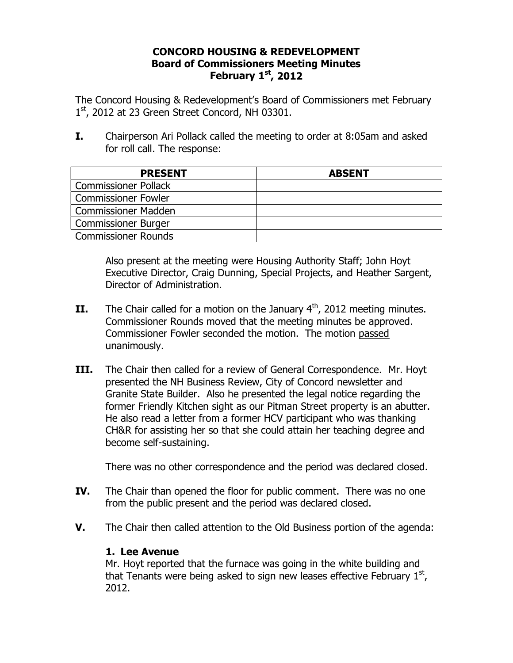## **CONCORD HOUSING & REDEVELOPMENT Board of Commissioners Meeting Minutes February 1st, 2012**

The Concord Housing & Redevelopment's Board of Commissioners met February  $1<sup>st</sup>$ , 2012 at 23 Green Street Concord, NH 03301.

**I.** Chairperson Ari Pollack called the meeting to order at 8:05am and asked for roll call. The response:

| <b>PRESENT</b>              | <b>ABSENT</b> |
|-----------------------------|---------------|
| <b>Commissioner Pollack</b> |               |
| <b>Commissioner Fowler</b>  |               |
| <b>Commissioner Madden</b>  |               |
| <b>Commissioner Burger</b>  |               |
| Commissioner Rounds         |               |

Also present at the meeting were Housing Authority Staff; John Hoyt Executive Director, Craig Dunning, Special Projects, and Heather Sargent, Director of Administration.

- **II.** The Chair called for a motion on the January  $4<sup>th</sup>$ , 2012 meeting minutes. Commissioner Rounds moved that the meeting minutes be approved. Commissioner Fowler seconded the motion. The motion passed unanimously.
- **III.** The Chair then called for a review of General Correspondence. Mr. Hoyt presented the NH Business Review, City of Concord newsletter and Granite State Builder. Also he presented the legal notice regarding the former Friendly Kitchen sight as our Pitman Street property is an abutter. He also read a letter from a former HCV participant who was thanking CH&R for assisting her so that she could attain her teaching degree and become self-sustaining.

There was no other correspondence and the period was declared closed.

- **IV.** The Chair than opened the floor for public comment. There was no one from the public present and the period was declared closed.
- **V.** The Chair then called attention to the Old Business portion of the agenda:

## **1. Lee Avenue**

Mr. Hoyt reported that the furnace was going in the white building and that Tenants were being asked to sign new leases effective February  $1<sup>st</sup>$ , 2012.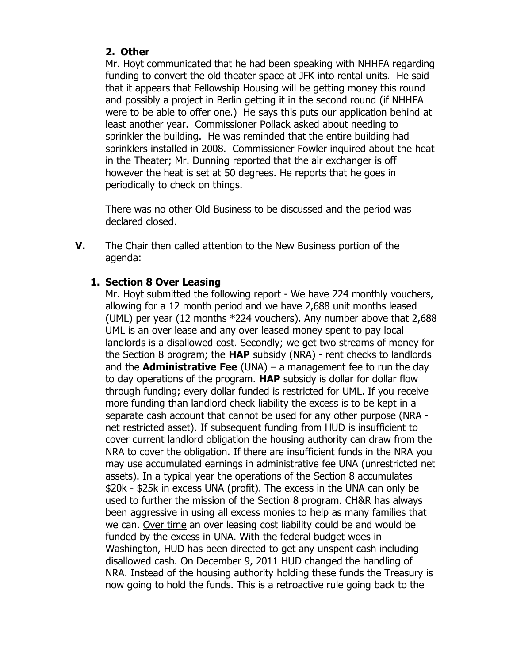## **2. Other**

Mr. Hoyt communicated that he had been speaking with NHHFA regarding funding to convert the old theater space at JFK into rental units. He said that it appears that Fellowship Housing will be getting money this round and possibly a project in Berlin getting it in the second round (if NHHFA were to be able to offer one.) He says this puts our application behind at least another year. Commissioner Pollack asked about needing to sprinkler the building. He was reminded that the entire building had sprinklers installed in 2008. Commissioner Fowler inquired about the heat in the Theater; Mr. Dunning reported that the air exchanger is off however the heat is set at 50 degrees. He reports that he goes in periodically to check on things.

There was no other Old Business to be discussed and the period was declared closed.

**V.** The Chair then called attention to the New Business portion of the agenda:

# **1. Section 8 Over Leasing**

Mr. Hoyt submitted the following report - We have 224 monthly vouchers, allowing for a 12 month period and we have 2,688 unit months leased (UML) per year (12 months \*224 vouchers). Any number above that 2,688 UML is an over lease and any over leased money spent to pay local landlords is a disallowed cost. Secondly; we get two streams of money for the Section 8 program; the **HAP** subsidy (NRA) - rent checks to landlords and the **Administrative Fee** (UNA) – a management fee to run the day to day operations of the program. **HAP** subsidy is dollar for dollar flow through funding; every dollar funded is restricted for UML. If you receive more funding than landlord check liability the excess is to be kept in a separate cash account that cannot be used for any other purpose (NRA net restricted asset). If subsequent funding from HUD is insufficient to cover current landlord obligation the housing authority can draw from the NRA to cover the obligation. If there are insufficient funds in the NRA you may use accumulated earnings in administrative fee UNA (unrestricted net assets). In a typical year the operations of the Section 8 accumulates \$20k - \$25k in excess UNA (profit). The excess in the UNA can only be used to further the mission of the Section 8 program. CH&R has always been aggressive in using all excess monies to help as many families that we can. Over time an over leasing cost liability could be and would be funded by the excess in UNA. With the federal budget woes in Washington, HUD has been directed to get any unspent cash including disallowed cash. On December 9, 2011 HUD changed the handling of NRA. Instead of the housing authority holding these funds the Treasury is now going to hold the funds. This is a retroactive rule going back to the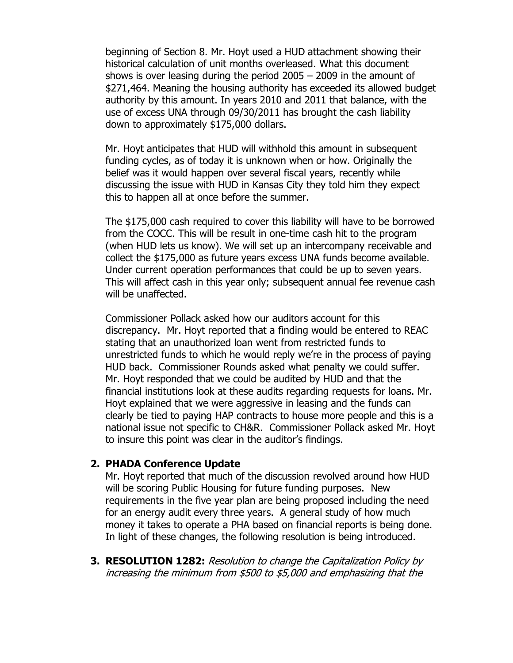beginning of Section 8. Mr. Hoyt used a HUD attachment showing their historical calculation of unit months overleased. What this document shows is over leasing during the period 2005 – 2009 in the amount of \$271,464. Meaning the housing authority has exceeded its allowed budget authority by this amount. In years 2010 and 2011 that balance, with the use of excess UNA through 09/30/2011 has brought the cash liability down to approximately \$175,000 dollars.

Mr. Hoyt anticipates that HUD will withhold this amount in subsequent funding cycles, as of today it is unknown when or how. Originally the belief was it would happen over several fiscal years, recently while discussing the issue with HUD in Kansas City they told him they expect this to happen all at once before the summer.

The \$175,000 cash required to cover this liability will have to be borrowed from the COCC. This will be result in one-time cash hit to the program (when HUD lets us know). We will set up an intercompany receivable and collect the \$175,000 as future years excess UNA funds become available. Under current operation performances that could be up to seven years. This will affect cash in this year only; subsequent annual fee revenue cash will be unaffected.

Commissioner Pollack asked how our auditors account for this discrepancy. Mr. Hoyt reported that a finding would be entered to REAC stating that an unauthorized loan went from restricted funds to unrestricted funds to which he would reply we're in the process of paying HUD back. Commissioner Rounds asked what penalty we could suffer. Mr. Hoyt responded that we could be audited by HUD and that the financial institutions look at these audits regarding requests for loans. Mr. Hoyt explained that we were aggressive in leasing and the funds can clearly be tied to paying HAP contracts to house more people and this is a national issue not specific to CH&R. Commissioner Pollack asked Mr. Hoyt to insure this point was clear in the auditor's findings.

#### **2. PHADA Conference Update**

Mr. Hoyt reported that much of the discussion revolved around how HUD will be scoring Public Housing for future funding purposes. New requirements in the five year plan are being proposed including the need for an energy audit every three years. A general study of how much money it takes to operate a PHA based on financial reports is being done. In light of these changes, the following resolution is being introduced.

**3. RESOLUTION 1282:** Resolution to change the Capitalization Policy by increasing the minimum from \$500 to \$5,000 and emphasizing that the